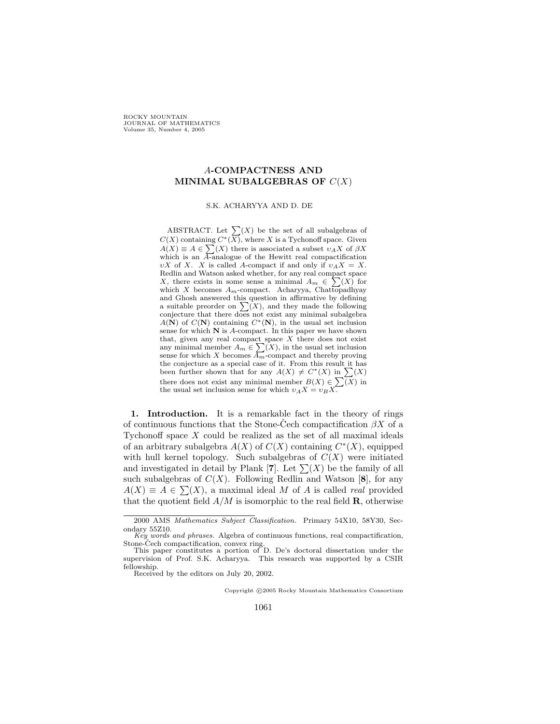**ROCKY MOUNTAIN** JOURNAL OF MATHEMATICS Volume 35, Number 4, 2005

## A**-COMPACTNESS AND MINIMAL SUBALGEBRAS OF**  $C(X)$

## S.K. ACHARYYA AND D. DE

ABSTRACT. Let  $\sum(X)$  be the set of all subalgebras of  $C(X)$  containing  $C^*(X)$ , where X is a Tychonoff space. Given  $A(X) \equiv A \in \sum(X)$  there is associated a subset  $v_A X$  of  $\beta X$ which is an  $\overline{A}$ -analogue of the Hewitt real compactification υX of X. X is called A-compact if and only if υ*A*X = X. Redlin and Watson asked whether, for any real compact space X, there exists in some sense a minimal  $A_m \in \sum(X)$  for which X becomes A*m*-compact. Acharyya, Chattopadhyay and Ghosh answered this question in affirmative by defining a suitable preorder on  $\sum(X)$ , and they made the following conjecture that there does not exist any minimal subalgebra  $A(N)$  of  $C(N)$  containing  $C^*(N)$ , in the usual set inclusion sense for which **N** is A-compact. In this paper we have shown that, given any real compact space  $X$  there does not exist any minimal member  $A_m \in \sum(X)$ , in the usual set inclusion sense for which X becomes  $\overline{A_m}$ -compact and thereby proving the conjecture as a special case of it. From this result it has been further shown that for any  $A(X) \neq C^*(X)$  in  $\sum(X)$ there does not exist any minimal member  $B(X) \in \sum(X)$  in the usual set inclusion sense for which  $v_A X = v_B X$ .

**1. Introduction.** It is a remarkable fact in the theory of rings of continuous functions that the Stone-Cech compactification  $\beta X$  of a Tychonoff space  $X$  could be realized as the set of all maximal ideals of an arbitrary subalgebra  $A(X)$  of  $C(X)$  containing  $C^*(X)$ , equipped with hull kernel topology. Such subalgebras of  $C(X)$  were initiated and investigated in detail by Plank [**7**]. Let  $\sum(X)$  be the family of all such subgleakers of  $C(X)$ . Following Bedlin and Watson [8], for any such subalgebras of  $C(X)$ . Following Redlin and Watson [8], for any  $A(X) \equiv A \in \sum(X)$ , a maximal ideal M of A is called *real* provided<br>that the quotient field  $A/M$  is isomorphic to the real field **B** otherwise that the quotient field  $A/M$  is isomorphic to the real field **R**, otherwise

Received by the editors on July 20, 2002.

Copyright  $C$  2005 Rocky Mountain Mathematics Consortium

<sup>2000</sup> AMS *Mathematics Subject Classification.* Primary 54X10, 58Y30, Secondary 55Z10.

*Key words and phrases.* Algebra of continuous functions, real compactification, Stone-Čech compactification, convex ring.<br>This paper constitutes a portion of D. De's doctoral dissertation under the

supervision of Prof. S.K. Acharyya. This research was supported by a CSIR fellowship.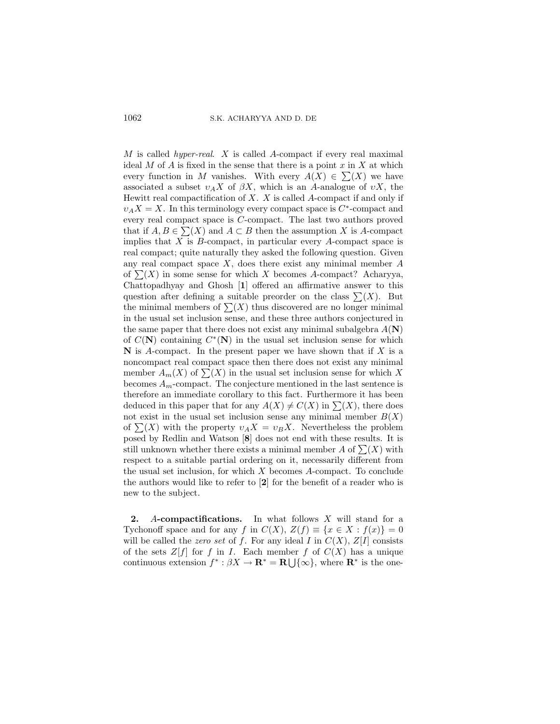1062 S.K. ACHARYYA AND D. DE

M is called *hyper-real*. X is called A-compact if every real maximal ideal  $M$  of  $A$  is fixed in the sense that there is a point  $x$  in  $X$  at which every function in M vanishes. With every  $A(X) \in \sum(X)$  we have<br>associated a subset  $v \cdot X$  of  $\beta X$  which is an A-analogue of  $v X$  the associated a subset  $v_A X$  of  $\beta X$ , which is an A-analogue of  $v X$ , the Hewitt real compactification of  $X$ .  $X$  is called  $A$ -compact if and only if  $v_A X = X$ . In this terminology every compact space is  $C^*$ -compact and every real compact space is C-compact. The last two authors proved that if  $A, B \in \sum(X)$  and  $A \subset B$  then the assumption X is A-compact<br>implies that X is B-compact, in particular every A-compact space is implies that  $X$  is  $B$ -compact, in particular every  $A$ -compact space is real compact; quite naturally they asked the following question. Given any real compact space  $X$ , does there exist any minimal member  $A$ of  $\sum(X)$  in some sense for which X becomes A-compact? Acharyya,<br>Chattopadhyay and Ghosh [1] offered an affirmative answer to this Chattopadhyay and Ghosh [**1**] offered an affirmative answer to this question after defining a suitable preorder on the class  $\sum(X)$ . But<br>the minimal members of  $\sum(Y)$  thus discovered are no longer minimal the minimal members of  $\sum(X)$  thus discovered are no longer minimal<br>in the usual set inclusion sanse, and these three authors conjectured in in the usual set inclusion sense, and these three authors conjectured in the same paper that there does not exist any minimal subalgebra  $A(\mathbf{N})$ of  $C(N)$  containing  $C^*(N)$  in the usual set inclusion sense for which  $N$  is A-compact. In the present paper we have shown that if  $X$  is a noncompact real compact space then there does not exist any minimal member  $A_m(X)$  of  $\sum(X)$  in the usual set inclusion sense for which X<br>becomes  $A_{n}$  compact. The conjecture mentioned in the last sentence is becomes  $A_m$ -compact. The conjecture mentioned in the last sentence is therefore an immediate corollary to this fact. Furthermore it has been deduced in this paper that for any  $A(X) \neq C(X)$  in  $\sum(X)$ , there does not exist in the usual set inclusion sense any minimal member  $B(X)$ of  $\sum(X)$  with the property  $v_A X = v_B X$ . Nevertheless the problem<br>posed by Bedlin and Watson [8] does not end with these results. It is posed by Redlin and Watson [**8**] does not end with these results. It is still unknown whether there exists a minimal member A of  $\sum(X)$  with<br>respect to a suitable partial ordering on it, pecessarily different from respect to a suitable partial ordering on it, necessarily different from the usual set inclusion, for which  $X$  becomes  $A$ -compact. To conclude the authors would like to refer to [**2**] for the benefit of a reader who is new to the subject.

**2.** A**-compactifications.** In what follows X will stand for a Tychonoff space and for any f in  $C(X)$ ,  $Z(f) \equiv \{x \in X : f(x)\} = 0$ will be called the *zero set* of f. For any ideal I in  $C(X)$ ,  $Z[I]$  consists of the sets  $Z[f]$  for f in I. Each member f of  $C(X)$  has a unique continuous extension  $f^* : \beta X \to \mathbf{R}^* = \mathbf{R} \cup \{\infty\}$ , where  $\mathbf{R}^*$  is the one-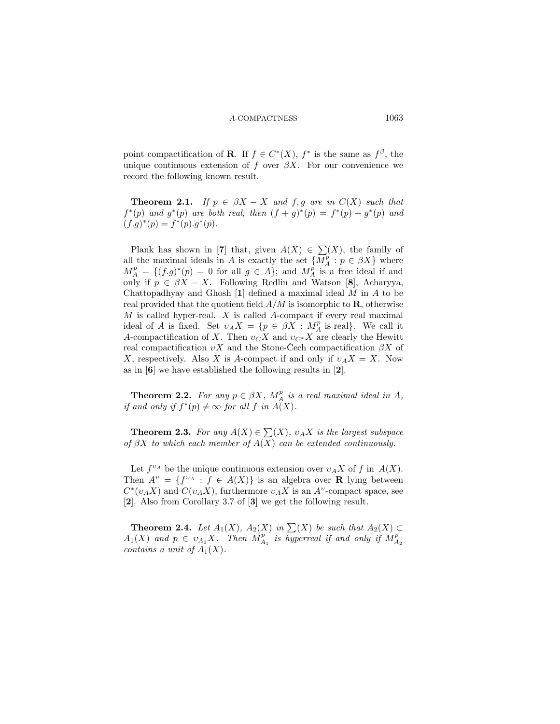point compactification of **R**. If  $f \in C^{*}(X)$ ,  $f^{*}$  is the same as  $f^{\beta}$ , the unique continuous extension of f over  $\beta X$ . For our convenience we record the following known result.

**Theorem 2.1.** *If*  $p \in \beta X - X$  *and*  $f, g$  *are in*  $C(X)$  *such that*  $f^{*}(p)$  *and*  $g^{*}(p)$  *are both real, then*  $(f + g)^{*}(p) = f^{*}(p) + g^{*}(p)$  *and*  $(f.g)^*(p) = f^*(p).g^*(p).$ 

Plank has shown in [**7**] that, given  $A(X) \in \sum(X)$ , the family of  $(X)$ , the family of all the maximal ideals in A is exactly the set  $\{M_A^p : p \in \beta X\}$  where  $M^p = \{ (f, q)^*(p) = 0 \text{ for all } q \in A\}$ ; and  $M^p$  is a free ideal if and  $M_A^p = \{ (f.g)^*(p) = 0 \text{ for all } g \in A \}$ ; and  $M_A^p$  is a free ideal if and only if  $p \in AX - X$  Following Bedlin and Watson [8]. Acharyya only if  $p \in \beta X - X$ . Following Redlin and Watson [8], Acharyya, Chattopadhyay and Ghosh [**1**] defined a maximal ideal M in A to be real provided that the quotient field  $A/M$  is isomorphic to **R**, otherwise  $M$  is called hyper-real.  $X$  is called A-compact if every real maximal ideal of A is fixed. Set  $v_A X = \{p \in \beta X : M_A^p \text{ is real}\}\$ . We call it A-compactification of X. Then  $v_A X$  and  $v_B X$  are clearly the Hewitt A-compactification of X. Then  $v_{C}X$  and  $v_{C}X$ <sup>2</sup> are clearly the Hewitt real compactification  $vX$  and the Stone-Cech compactification  $\beta X$  of X, respectively. Also X is A-compact if and only if  $v_A X = X$ . Now as in [**6**] we have established the following results in [**2**].

**Theorem 2.2.** *For any*  $p \in \beta X$ *,*  $M_A^p$  *is a real maximal ideal in* A*,* and only if  $f^*(p) \neq \infty$  for all f in  $A(Y)$ *if and only if*  $f^*(p) \neq \infty$  *for all*  $f$  *in*  $A(X)$ *.* 

**Theorem 2.3.** For any  $A(X) \in \sum(X)$ ,  $v_A X$  is the largest subspace  $A(X)$  can be extended continuously *of* βX *to which each member of* A(X) *can be extended continuously.*

Let  $f^{\nu_A}$  be the unique continuous extension over  $\nu_A X$  of f in  $A(X)$ . Then  $A^v = \{f^{v_A} : f \in A(X)\}\$ is an algebra over **R** lying between  $C^*(v_A X)$  and  $C(v_A X)$ , furthermore  $v_A X$  is an  $A^v$ -compact space, see [**2**]. Also from Corollary 3.7 of [**3**] we get the following result.

**Theorem 2.4.** *Let*  $A_1(X)$ *,*  $A_2(X)$  *in*  $\sum(X)$  *be such that*  $A_2(X) \subset$ <br>(X) and  $n \in \mathcal{Y}$ <sup>*x*</sup> *Then*  $M^p$  *is byperreal if and only if*  $M^p$  $A_1(X)$  and  $p \in v_{A_2}X$ . Then  $M_{A_1}^p$  is hyperreal if and only if  $M_{A_2}^p$  contains a unit of  $A_1(X)$ *contains a unit of*  $A_1(X)$ *.*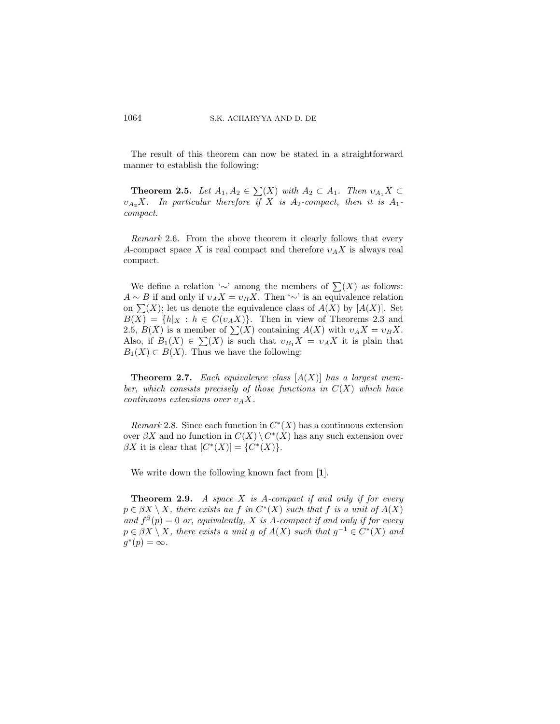The result of this theorem can now be stated in a straightforward manner to establish the following:

**Theorem 2.5.** *Let*  $A_1, A_2 \in \sum(X)$  *with*  $A_2 \subset A_1$ . *Then*  $v_{A_1} X \subset$ <br>*i. X In particular therefore if X is A*<sub>2</sub>*compact, then it is A<sub>2</sub>*  $v_{A_2}X$ *. In particular therefore if* X *is*  $A_2$ -compact, then *it is*  $A_1$ *compact.*

*Remark* 2.6. From the above theorem it clearly follows that every A-compact space X is real compact and therefore  $v_A X$  is always real compact.

We define a relation '∼' among the members of  $\sum(X)$  as follows:<br>  $\sim R$  if and only if  $v \cdot X = v \cdot X$ . Then ' $\sim$ ' is an equivalence relation  $A \sim B$  if and only if  $v_A X = v_B X$ . Then '∼' is an equivalence relation on  $\sum(X)$ ; let us denote the equivalence class of  $A(X)$  by  $[A(X)]$ . Set  $B(X) = \{h | x : h \in C(u, X)\}$ . Then in view of Theorems 2.3 and  $B(X) = \{h|_X : h \in C(v_A X)\}.$  Then in view of Theorems 2.3 and 2.5,  $B(X)$  is a member of  $\sum(X)$  containing  $A(X)$  with  $v_A X = v_B X$ .<br>Also if  $B_r(X) \subseteq \sum(X)$  is such that  $v_B X = v_L X$  it is plain that Also, if  $B_1(X) \in \sum(X)$  is such that  $v_{B_1}X = v_A X$  it is plain that  $B_1(Y) \subset B(Y)$ . Thus we have the following:  $B_1(X) \subset B(X)$ . Thus we have the following:

**Theorem 2.7.** *Each equivalence class* [A(X)] *has a largest member, which consists precisely of those functions in* C(X) *which have continuous extensions over*  $v_A X$ .

*Remark* 2.8. Since each function in  $C<sup>*</sup>(X)$  has a continuous extension over  $\beta X$  and no function in  $C(X) \setminus C^*(X)$  has any such extension over  $\beta X$  it is clear that  $[C^*(X)] = \{C^*(X)\}.$ 

We write down the following known fact from [**1**].

**Theorem 2.9.** *A space* X *is* A*-compact if and only if for every*  $p \in \beta X \setminus X$ , there exists an f in  $C^*(X)$  such that f is a unit of  $A(X)$ *and*  $f^{\beta}(p) = 0$  *or, equivalently,* X *is* A-compact if and only if for every  $p \in \beta X \setminus X$ , there exists a unit g of  $A(X)$  such that  $g^{-1} \in C^*(X)$  and  $q^*(p) = \infty$ .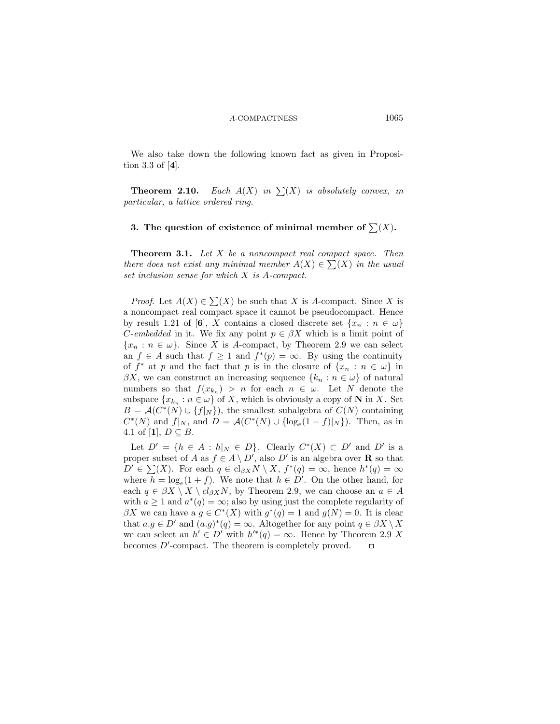We also take down the following known fact as given in Proposition 3.3 of [**4**].

**Theorem 2.10.** *Each*  $A(X)$  *in*  $\sum(X)$  *is absolutely convex, in*<br>*inticular, a lattice ordered ring particular, a lattice ordered ring.*

## **3.** The question of existence of minimal member of  $\sum(X)$ .

**Theorem 3.1.** *Let* X *be a noncompact real compact space. Then there does not exist any minimal member*  $A(X) \in \sum(X)$  *in the usual* set inclusion sense for which X is A-compact *set inclusion sense for which* X *is* A*-compact.*

*Proof.* Let  $A(X) \in \sum(X)$  be such that X is A-compact. Since X is noncompact real compact space it cannot be pseudocompact. Hence a noncompact real compact space it cannot be pseudocompact. Hence by result 1.21 of [6], X contains a closed discrete set  $\{x_n : n \in \omega\}$ *C*-embedded in it. We fix any point  $p \in \beta X$  which is a limit point of  ${x_n : n \in \omega}$ . Since X is A-compact, by Theorem 2.9 we can select an  $f \in A$  such that  $f \geq 1$  and  $f^*(p) = \infty$ . By using the continuity of  $f^*$  at p and the fact that p is in the closure of  $\{x_n : n \in \omega\}$  in  $\beta X$ , we can construct an increasing sequence  $\{k_n : n \in \omega\}$  of natural numbers so that  $f(x_{k_n}) > n$  for each  $n \in \omega$ . Let N denote the subspace  $\{x_{k_n} : n \in \omega\}$  of X, which is obviously a copy of **N** in X. Set  $B = \mathcal{A}(C^*(N) \cup \{f|_N\})$ , the smallest subalgebra of  $C(N)$  containing  $C^*(N)$  and  $f|_N$ , and  $D = \mathcal{A}(C^*(N) \cup \{\log_e(1+f)|_N\})$ . Then, as in 4.1 of [**1**],  $D \subseteq B$ .

Let  $D' = \{h \in A : h|_N \in D\}$ . Clearly  $C^*(X) \subset D'$  and  $D'$  is a proper subset of A as  $f \in A \setminus D'$ , also  $D'$  is an algebra over **R** so that  $D' \in \sum (X)$ . For each  $a \in cl_{\partial Y} N \setminus X$ ,  $f^*(a) = \infty$ , hence  $b^*(a) = \infty$  $D' \in \sum(X)$ . For each  $q \in cl_{\beta X} N \setminus X$ ,  $f^*(q) = \infty$ , hence  $h^*(q) = \infty$ <br>where  $h = \log(1 + f)$ . We note that  $h \in D'$ . On the other hand, for where  $h = \log_e(1+f)$ . We note that  $h \in D'$ . On the other hand, for each  $a \in AX \setminus X \setminus cl_{\alpha}yN$  by Theorem 2.9 we can choose an  $a \in A$ each  $q \in \beta X \setminus X \setminus cl_{\beta X}N$ , by Theorem 2.9, we can choose an  $a \in A$ with  $a \ge 1$  and  $a^*(q) = \infty$ ; also by using just the complete regularity of  $\beta X$  we can have a  $g \in C^*(X)$  with  $g^*(q) = 1$  and  $g(N) = 0$ . It is clear that  $a.g \in D'$  and  $(a.g)^*(q) = \infty$ . Altogether for any point  $q \in \beta X \setminus X$ we can select an  $h' \in D'$  with  $h'^*(q) = \infty$ . Hence by Theorem 2.9 X<br>becomes D'-compact. The theorem is completely proved. becomes  $D'$ -compact. The theorem is completely proved.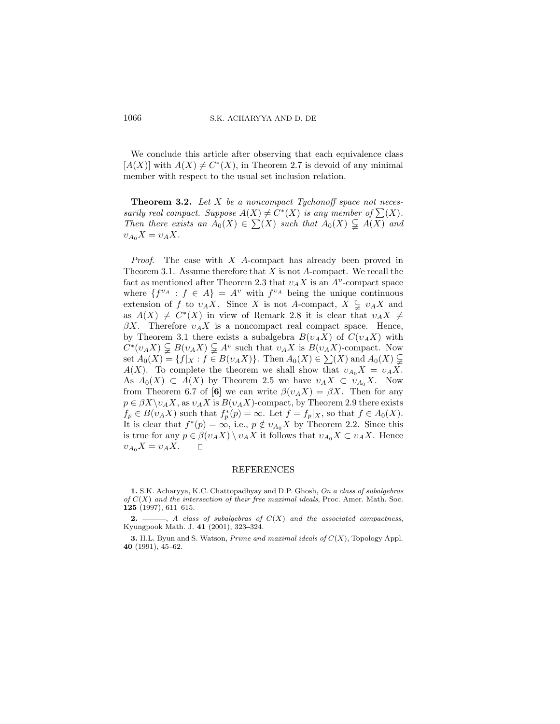We conclude this article after observing that each equivalence class  $[A(X)]$  with  $A(X) \neq C^*(X)$ , in Theorem 2.7 is devoid of any minimal member with respect to the usual set inclusion relation.

**Theorem 3.2.** *Let* X *be a noncompact Tychonoff space not necessarily real compact. Suppose*  $A(X) \neq C^*(X)$  *is any member of*  $\sum(X)$ .<br>Then there exists an  $A_0(X) \subseteq \sum(Y)$  such that  $A_0(X) \subseteq A(X)$  and *Then there exists an*  $A_0(X) \in \sum(X)$  *such that*  $A_0(X) \subsetneq A(X)$  *and*  $X = Y \times X$  $v_{A_0}X = v_A X.$ 

*Proof*. The case with X A-compact has already been proved in Theorem 3.1. Assume therefore that  $X$  is not  $A$ -compact. We recall the fact as mentioned after Theorem 2.3 that  $v_A X$  is an  $A^v$ -compact space where  $\{f^{v_A}: f \in A\} = A^v$  with  $f^{v_A}$  being the unique continuous extension of f to  $v_A X$ . Since X is not A-compact,  $X \subsetneq v_A X$  and<br>as  $A(X) \neq C^*(X)$  in view of Bemark 2.8 it is clear that  $v \downarrow X \neq$ as  $A(X) \neq C^*(X)$  in view of Remark 2.8 it is clear that  $v_A X \neq$  $\beta X$ . Therefore  $v_A X$  is a noncompact real compact space. Hence, by Theorem 3.1 there exists a subalgebra  $B(v_A X)$  of  $C(v_A X)$  with  $C^*(v_A X) \subsetneq B(v_A X) \subsetneq A^v$  such that  $v_A X$  is  $B(v_A X)$ -compact. Now<br>set  $A_0(X) = f f|_{X}$ ,  $f \in B(v, X)$ . Then  $A_0(X) \in \sum(X)$  and  $A_0(X) \subseteq$ set  $A_0(X) = \{f|_X : f \in B(v_A X)\}$ . Then  $A_0(X) \in \sum(X)$  and  $A_0(X) \subsetneq A(X)$ . To complete the theorem we shall show that  $v \in X - v \in X$ .  $A(X)$ . To complete the theorem we shall show that  $v_{A_0}X = v_A X$ . As  $A_0(X) \subset A(X)$  by Theorem 2.5 we have  $v_A X \subset v_{A_0} X$ . Now from Theorem 6.7 of [6] we can write  $\beta(v_A X) = \beta X$ . Then for any  $p \in \beta X \backslash \nu_A X$ , as  $\nu_A X$  is  $B(\nu_A X)$ -compact, by Theorem 2.9 there exists  $f_p \in B(v_A X)$  such that  $f_p^*(p) = \infty$ . Let  $f = f_p|x$ , so that  $f \in A_0(X)$ .<br>It is clear that  $f^*(p) = \infty$  i.e.  $p \notin y$ .  $Y$  by Theorem 2.2. Since this It is clear that  $f^*(p) = \infty$ , i.e.,  $p \notin v_{A_0}X$  by Theorem 2.2. Since this is true for any  $n \in \mathcal{B}(v, X) \setminus v$ , X it follows that  $v \in X \subseteq v$ , X. Hence is true for any  $p \in \beta(v_A X) \setminus v_A X$  it follows that  $v_{A_0} X \subset v_A X$ . Hence  $v_A X = v_A X$  $v_{A_0}X = v_A X$ .

## REFERENCES

**1.** S.K. Acharyya, K.C. Chattopadhyay and D.P. Ghosh, *On a class of subalgebras of* C(X) *and the intersection of their free maximal ideals*, Proc. Amer. Math. Soc. 125 (1997), 611-615.

**2.**  $\longrightarrow$ , *A class of subalgebras of*  $C(X)$  *and the associated compactness,* Kyungpook Math. J. 41<sup> (2001)</sup>, 323-324.

**3.** H.L. Byun and S. Watson, *Prime and maximal ideals of* C(X), Topology Appl. 40 (1991), 45-62.